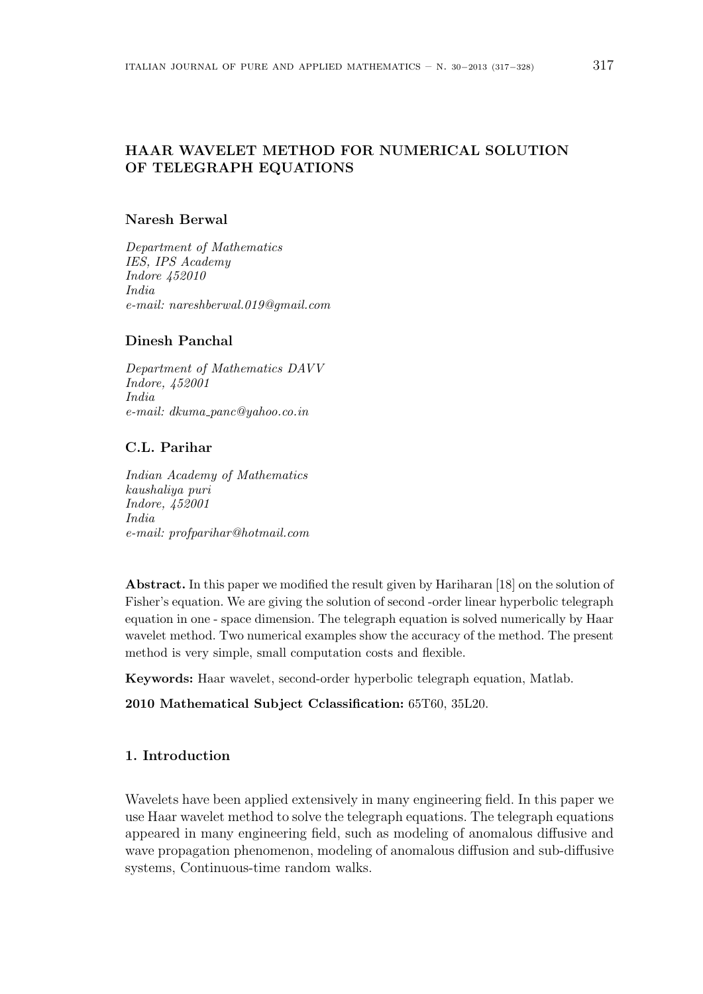# **HAAR WAVELET METHOD FOR NUMERICAL SOLUTION OF TELEGRAPH EQUATIONS**

## **Naresh Berwal**

*Department of Mathematics IES, IPS Academy Indore 452010 India e-mail: nareshberwal.019@gmail.com*

### **Dinesh Panchal**

*Department of Mathematics DAVV Indore, 452001 India e-mail: dkuma panc@yahoo.co.in*

### **C.L. Parihar**

*Indian Academy of Mathematics kaushaliya puri Indore, 452001 India e-mail: profparihar@hotmail.com*

**Abstract.** In this paper we modified the result given by Hariharan [18] on the solution of Fisher's equation. We are giving the solution of second -order linear hyperbolic telegraph equation in one - space dimension. The telegraph equation is solved numerically by Haar wavelet method. Two numerical examples show the accuracy of the method. The present method is very simple, small computation costs and flexible.

**Keywords:** Haar wavelet, second-order hyperbolic telegraph equation, Matlab.

# **2010 Mathematical Subject Cclassification:** 65T60, 35L20.

## **1. Introduction**

Wavelets have been applied extensively in many engineering field. In this paper we use Haar wavelet method to solve the telegraph equations. The telegraph equations appeared in many engineering field, such as modeling of anomalous diffusive and wave propagation phenomenon, modeling of anomalous diffusion and sub-diffusive systems, Continuous-time random walks.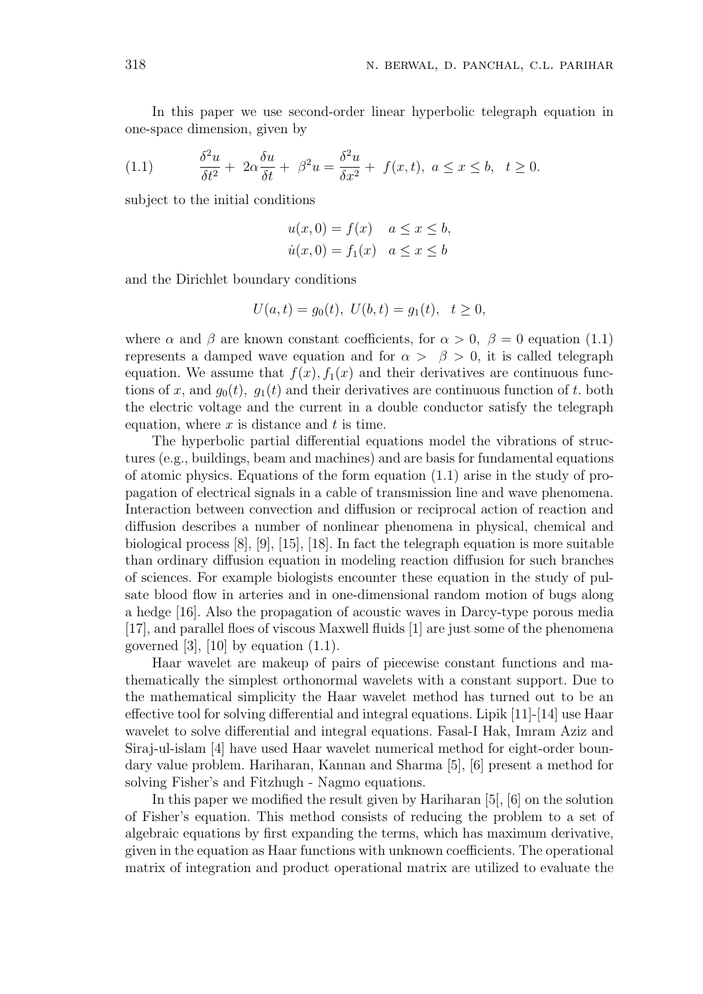In this paper we use second-order linear hyperbolic telegraph equation in one-space dimension, given by

(1.1) 
$$
\frac{\delta^2 u}{\delta t^2} + 2\alpha \frac{\delta u}{\delta t} + \beta^2 u = \frac{\delta^2 u}{\delta x^2} + f(x, t), \ a \le x \le b, \ t \ge 0.
$$

subject to the initial conditions

$$
u(x, 0) = f(x) \quad a \le x \le b,
$$
  

$$
\dot{u}(x, 0) = f_1(x) \quad a \le x \le b
$$

and the Dirichlet boundary conditions

$$
U(a,t) = g_0(t), \ U(b,t) = g_1(t), \ t \ge 0,
$$

where  $\alpha$  and  $\beta$  are known constant coefficients, for  $\alpha > 0$ ,  $\beta = 0$  equation (1.1) represents a damped wave equation and for  $\alpha > \beta > 0$ , it is called telegraph equation. We assume that  $f(x)$ ,  $f_1(x)$  and their derivatives are continuous functions of x, and  $g_0(t)$ ,  $g_1(t)$  and their derivatives are continuous function of t. both the electric voltage and the current in a double conductor satisfy the telegraph equation, where *x* is distance and *t* is time.

The hyperbolic partial differential equations model the vibrations of structures (e.g., buildings, beam and machines) and are basis for fundamental equations of atomic physics. Equations of the form equation  $(1.1)$  arise in the study of propagation of electrical signals in a cable of transmission line and wave phenomena. Interaction between convection and diffusion or reciprocal action of reaction and diffusion describes a number of nonlinear phenomena in physical, chemical and biological process [8], [9], [15], [18]. In fact the telegraph equation is more suitable than ordinary diffusion equation in modeling reaction diffusion for such branches of sciences. For example biologists encounter these equation in the study of pulsate blood flow in arteries and in one-dimensional random motion of bugs along a hedge [16]. Also the propagation of acoustic waves in Darcy-type porous media [17], and parallel floes of viscous Maxwell fluids [1] are just some of the phenomena governed [3], [10] by equation  $(1.1)$ .

Haar wavelet are makeup of pairs of piecewise constant functions and mathematically the simplest orthonormal wavelets with a constant support. Due to the mathematical simplicity the Haar wavelet method has turned out to be an effective tool for solving differential and integral equations. Lipik [11]-[14] use Haar wavelet to solve differential and integral equations. Fasal-I Hak, Imram Aziz and Siraj-ul-islam [4] have used Haar wavelet numerical method for eight-order boundary value problem. Hariharan, Kannan and Sharma [5], [6] present a method for solving Fisher's and Fitzhugh - Nagmo equations.

In this paper we modified the result given by Hariharan [5[, [6] on the solution of Fisher's equation. This method consists of reducing the problem to a set of algebraic equations by first expanding the terms, which has maximum derivative, given in the equation as Haar functions with unknown coefficients. The operational matrix of integration and product operational matrix are utilized to evaluate the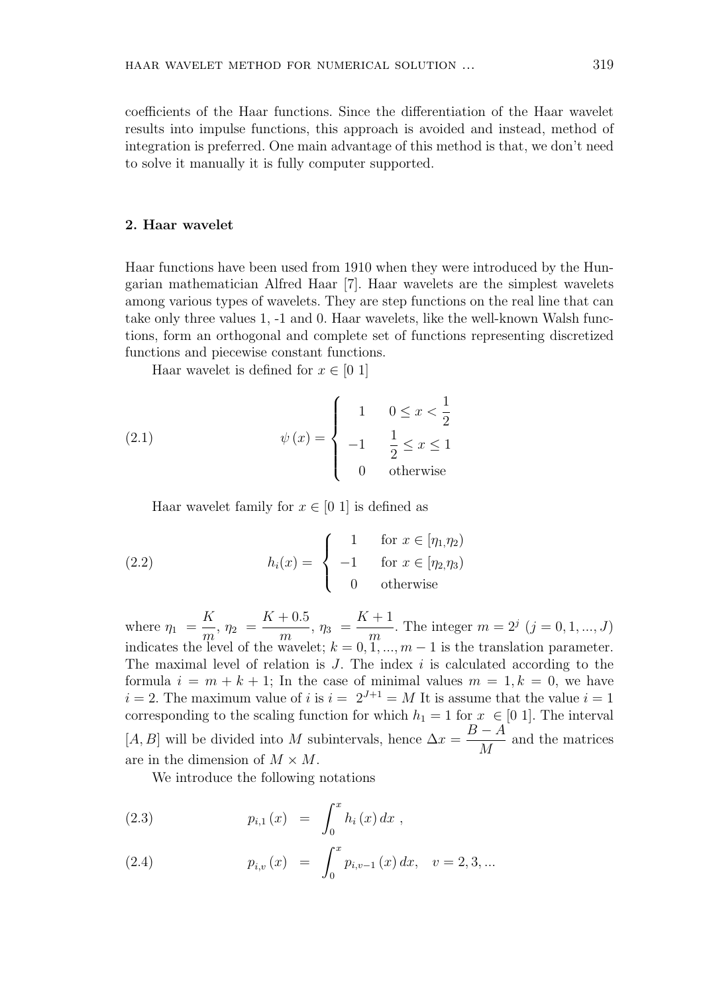coefficients of the Haar functions. Since the differentiation of the Haar wavelet results into impulse functions, this approach is avoided and instead, method of integration is preferred. One main advantage of this method is that, we don't need to solve it manually it is fully computer supported.

# **2. Haar wavelet**

Haar functions have been used from 1910 when they were introduced by the Hungarian mathematician Alfred Haar [7]. Haar wavelets are the simplest wavelets among various types of wavelets. They are step functions on the real line that can take only three values 1, -1 and 0. Haar wavelets, like the well-known Walsh functions, form an orthogonal and complete set of functions representing discretized functions and piecewise constant functions.

Haar wavelet is defined for  $x \in [0, 1]$ 

(2.1) 
$$
\psi(x) = \begin{cases} 1 & 0 \le x < \frac{1}{2} \\ -1 & \frac{1}{2} \le x \le 1 \\ 0 & \text{otherwise} \end{cases}
$$

Haar wavelet family for  $x \in [0, 1]$  is defined as

(2.2) 
$$
h_i(x) = \begin{cases} 1 & \text{for } x \in [\eta_1, \eta_2) \\ -1 & \text{for } x \in [\eta_2, \eta_3) \\ 0 & \text{otherwise} \end{cases}
$$

where  $\eta_1$  = *K*  $\frac{1}{m}$ ,  $\eta_2$  =  $K + 0.5$  $\frac{1}{m}$ ,  $\eta_3$  =  $K + 1$ *m* . The integer  $m = 2^j$   $(j = 0, 1, ..., J)$ indicates the level of the wavelet;  $k = 0, 1, ..., m-1$  is the translation parameter. The maximal level of relation is *J*. The index *i* is calculated according to the formula  $i = m + k + 1$ ; In the case of minimal values  $m = 1, k = 0$ , we have  $i = 2$ . The maximum value of *i* is  $i = 2^{J+1} = M$  It is assume that the value  $i = 1$ corresponding to the scaling function for which  $h_1 = 1$  for  $x \in [0, 1]$ . The interval  $[A, B]$  will be divided into *M* subintervals, hence  $\Delta x = \frac{B - A}{A}$ *M* and the matrices are in the dimension of  $M \times M$ .

We introduce the following notations

(2.3) 
$$
p_{i,1}(x) = \int_0^x h_i(x) dx,
$$

(2.4) 
$$
p_{i,v}(x) = \int_0^x p_{i,v-1}(x) dx, \quad v = 2, 3, ...
$$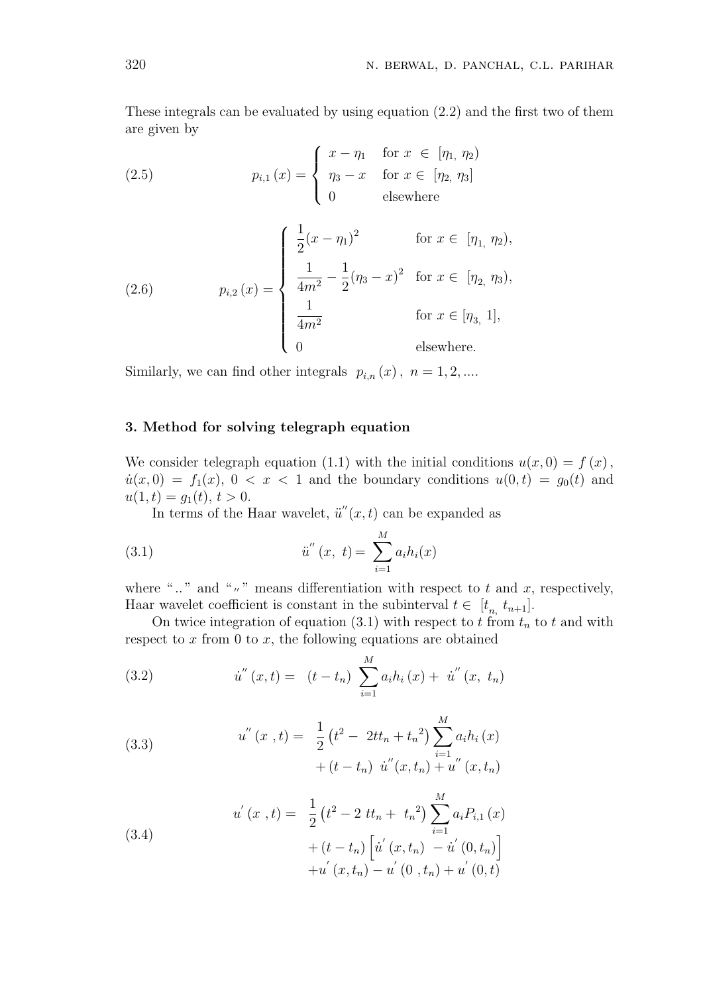These integrals can be evaluated by using equation (2.2) and the first two of them are given by

(2.5) 
$$
p_{i,1}(x) = \begin{cases} x - \eta_1 & \text{for } x \in [\eta_1, \eta_2) \\ \eta_3 - x & \text{for } x \in [\eta_2, \eta_3] \\ 0 & \text{elsewhere} \end{cases}
$$

(2.6) 
$$
p_{i,2}(x) = \begin{cases} \frac{1}{2}(x - \eta_1)^2 & \text{for } x \in [\eta_1, \eta_2), \\ \frac{1}{4m^2} - \frac{1}{2}(\eta_3 - x)^2 & \text{for } x \in [\eta_2, \eta_3), \\ \frac{1}{4m^2} & \text{for } x \in [\eta_3, 1], \\ 0 & \text{elsewhere.} \end{cases}
$$

Similarly, we can find other integrals  $p_{i,n}(x)$ ,  $n = 1, 2, ...$ 

### **3. Method for solving telegraph equation**

We consider telegraph equation (1.1) with the initial conditions  $u(x, 0) = f(x)$ ,  $u(x,0) = f_1(x), 0 < x < 1$  and the boundary conditions  $u(0,t) = g_0(t)$  and  $u(1,t) = g_1(t), t > 0.$ 

In terms of the Haar wavelet,  $\ddot{u}''(x,t)$  can be expanded as

(3.1) 
$$
\ddot{u}''(x, t) = \sum_{i=1}^{M} a_i h_i(x)
$$

where " $\ldots$ " and " $\ldots$ " means differentiation with respect to t and x, respectively, Haar wavelet coefficient is constant in the subinterval  $t \in [t_n, t_{n+1}]$ .

On twice integration of equation (3.1) with respect to  $t \overline{r}$  from  $t_n$  to  $t$  and with respect to *x* from 0 to *x*, the following equations are obtained

(3.2) 
$$
\dot{u}''(x,t) = (t - t_n) \sum_{i=1}^{M} a_i h_i(x) + \dot{u}''(x, t_n)
$$

(3.3) 
$$
u''(x,t) = \frac{1}{2} (t^2 - 2tt_n + t_n^2) \sum_{i=1}^{M} a_i h_i(x) + (t - t_n) u''(x, t_n) + u''(x, t_n)
$$

(3.4)  

$$
u'(x, t) = \frac{1}{2} (t^2 - 2 t t_n + t_n^2) \sum_{i=1}^{M} a_i P_{i,1}(x) + (t - t_n) \left[ \dot{u}'(x, t_n) - \dot{u}'(0, t_n) \right] + u'(x, t_n) - u'(0, t_n) + u'(0, t)
$$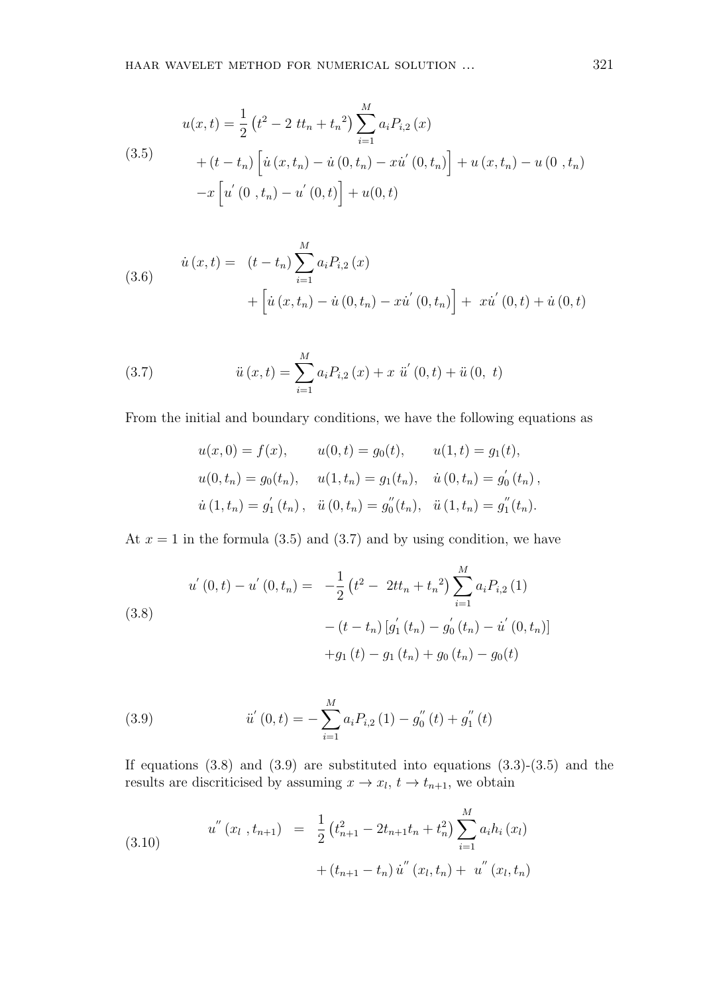(3.5)  
\n
$$
u(x,t) = \frac{1}{2} (t^2 - 2tt_n + t_n^2) \sum_{i=1}^M a_i P_{i,2}(x)
$$
\n
$$
+ (t - t_n) \left[ \dot{u}(x, t_n) - \dot{u}(0, t_n) - x\dot{u}'(0, t_n) \right] + u(x, t_n) - u(0, t_n)
$$
\n
$$
-x \left[ \dot{u}'(0, t_n) - \dot{u}'(0, t) \right] + u(0, t)
$$

(3.6) 
$$
\dot{u}(x,t) = (t - t_n) \sum_{i=1}^{M} a_i P_{i,2}(x) + \left[ \dot{u}(x, t_n) - \dot{u}(0, t_n) - x\dot{u}'(0, t_n) \right] + x\dot{u}'(0, t) + \dot{u}(0, t)
$$

(3.7) 
$$
\ddot{u}(x,t) = \sum_{i=1}^{M} a_i P_{i,2}(x) + x \ddot{u}'(0,t) + \ddot{u}(0, t)
$$

From the initial and boundary conditions, we have the following equations as

$$
u(x, 0) = f(x), \t u(0, t) = g_0(t), \t u(1, t) = g_1(t),
$$
  

$$
u(0, t_n) = g_0(t_n), \t u(1, t_n) = g_1(t_n), \t \dot{u}(0, t_n) = g'_0(t_n),
$$
  

$$
\dot{u}(1, t_n) = g'_1(t_n), \t \ddot{u}(0, t_n) = g''_0(t_n), \t \ddot{u}(1, t_n) = g''_1(t_n).
$$

At  $x = 1$  in the formula (3.5) and (3.7) and by using condition, we have

(3.8)  

$$
u^{'}(0,t) - u^{'}(0,t_{n}) = -\frac{1}{2} (t^{2} - 2tt_{n} + t_{n}^{2}) \sum_{i=1}^{M} a_{i} P_{i,2} (1)
$$

$$
- (t - t_{n}) [g_{1}^{'}(t_{n}) - g_{0}^{'}(t_{n}) - u^{'}(0,t_{n})]
$$

$$
+ g_{1} (t) - g_{1} (t_{n}) + g_{0} (t_{n}) - g_{0} (t)
$$

(3.9) 
$$
\ddot{u}'(0,t) = -\sum_{i=1}^{M} a_i P_{i,2}(1) - g''_0(t) + g''_1(t)
$$

If equations  $(3.8)$  and  $(3.9)$  are substituted into equations  $(3.3)-(3.5)$  and the results are discriticised by assuming  $x \to x_l$ ,  $t \to t_{n+1}$ , we obtain

(3.10) 
$$
u''(x_l, t_{n+1}) = \frac{1}{2} (t_{n+1}^2 - 2t_{n+1}t_n + t_n^2) \sum_{i=1}^M a_i h_i(x_l) + (t_{n+1} - t_n) u''(x_l, t_n) + u''(x_l, t_n)
$$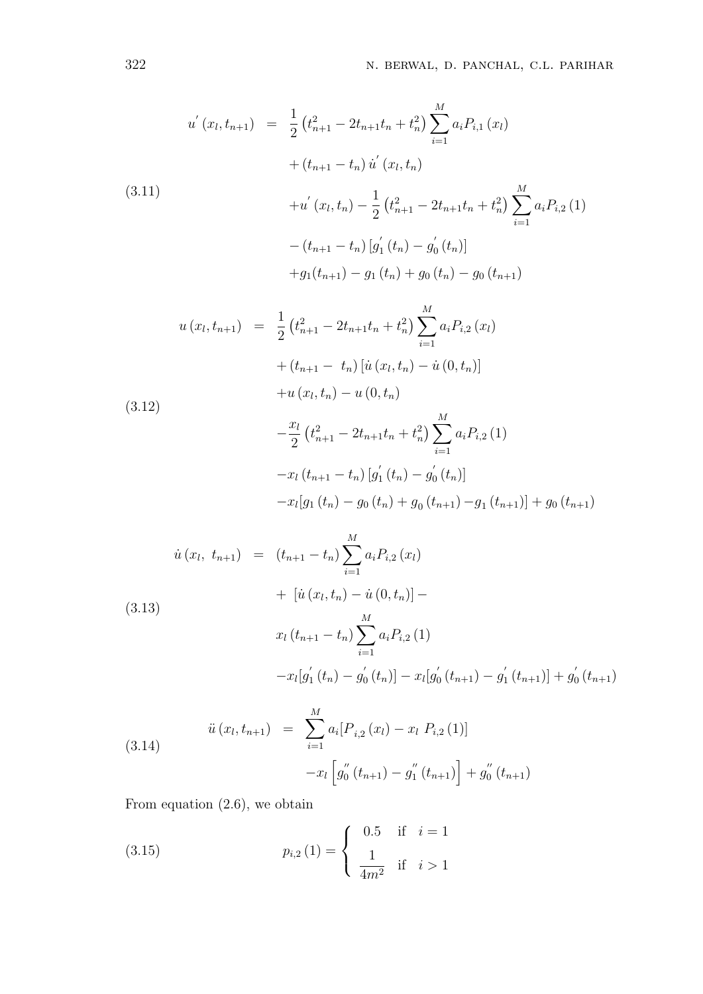$$
u'(x_l, t_{n+1}) = \frac{1}{2} (t_{n+1}^2 - 2t_{n+1}t_n + t_n^2) \sum_{i=1}^M a_i P_{i,1}(x_l)
$$
  
+  $(t_{n+1} - t_n) \dot{u}'(x_l, t_n)$   
(3.11)  
+  $u'(x_l, t_n) - \frac{1}{2} (t_{n+1}^2 - 2t_{n+1}t_n + t_n^2) \sum_{i=1}^M a_i P_{i,2}(1)$   
-  $(t_{n+1} - t_n) [g'_1(t_n) - g'_0(t_n)]$   
+  $g_1(t_{n+1}) - g_1(t_n) + g_0(t_n) - g_0(t_{n+1})$   
 $u(x_l, t_{n+1}) = \frac{1}{2} (t_{n+1}^2 - 2t_{n+1}t_n + t_n^2) \sum_{i=1}^M a_i P_{i,2}(x_l)$   
+  $(t_{n+1} - t_n) [\dot{u}(x_l, t_n) - \dot{u}(0, t_n)]$   
+  $u(x_l, t_n) - u(0, t_n)$   
 $- \frac{x_l}{2} (t_{n+1}^2 - 2t_{n+1}t_n + t_n^2) \sum_{i=1}^M a_i P_{i,2}(1)$   
-  $x_l(t_{n+1} - t_n) [g'_1(t_n) - g'_0(t_n)]$   
-  $x_l[g_1(t_n) - g_0(t_n) + g_0(t_{n+1}) - g_1(t_{n+1})] + g_0(t_{n+1})$ 

$$
\dot{u}(x_l, t_{n+1}) = (t_{n+1} - t_n) \sum_{i=1}^M a_i P_{i,2}(x_l)
$$
  
+ 
$$
[\dot{u}(x_l, t_n) - \dot{u}(0, t_n)] -
$$
  

$$
x_l (t_{n+1} - t_n) \sum_{i=1}^M a_i P_{i,2}(1)
$$
  
-
$$
x_l [g'_1(t_n) - g'_0(t_n)] - x_l [g'_0(t_{n+1}) - g'_1(t_{n+1})] + g'_0(t_{n+1})
$$

(3.14) 
$$
\ddot{u}(x_l, t_{n+1}) = \sum_{i=1}^{M} a_i [P_{i,2}(x_l) - x_l P_{i,2}(1)] -x_l [g_0''(t_{n+1}) - g_1''(t_{n+1})] + g_0''(t_{n+1})
$$

From equation (2.6), we obtain

(3.15) 
$$
p_{i,2}(1) = \begin{cases} 0.5 & \text{if } i = 1 \\ \frac{1}{4m^2} & \text{if } i > 1 \end{cases}
$$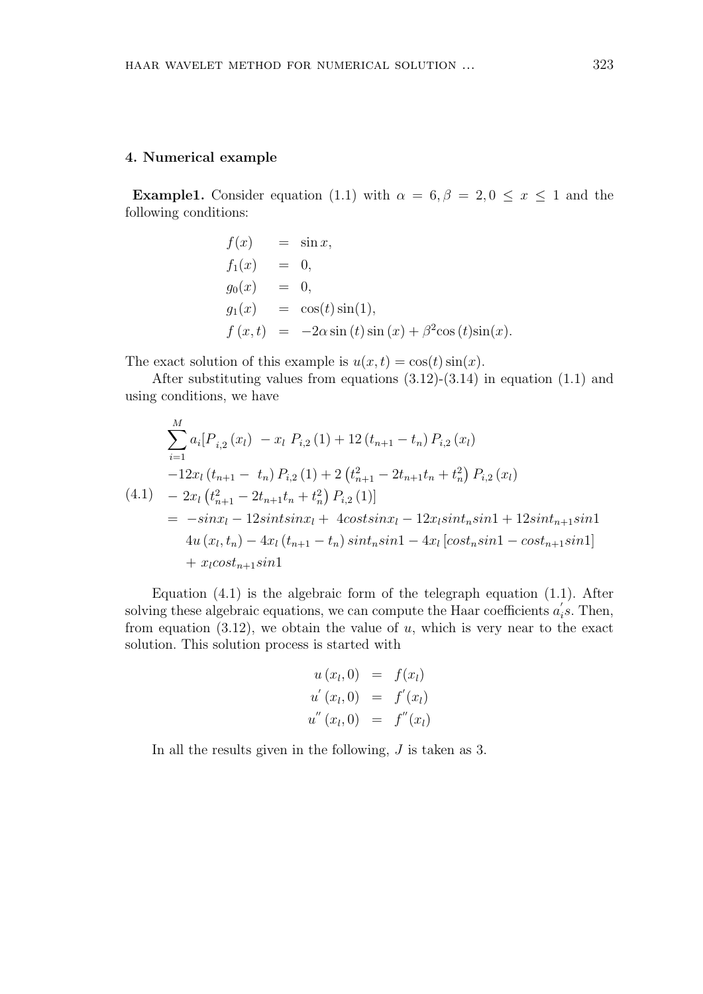#### **4. Numerical example**

**Example1.** Consider equation (1.1) with  $\alpha = 6, \beta = 2, 0 \le x \le 1$  and the following conditions:

$$
f(x) = \sin x,
$$
  
\n
$$
f_1(x) = 0,
$$
  
\n
$$
g_0(x) = 0,
$$
  
\n
$$
g_1(x) = \cos(t)\sin(1),
$$
  
\n
$$
f(x,t) = -2\alpha\sin(t)\sin(x) + \beta^2\cos(t)\sin(x).
$$

The exact solution of this example is  $u(x,t) = \cos(t) \sin(x)$ .

After substituting values from equations  $(3.12)-(3.14)$  in equation  $(1.1)$  and using conditions, we have

$$
\sum_{i=1}^{M} a_i [P_{i,2}(x_l) - x_l P_{i,2}(1) + 12(t_{n+1} - t_n) P_{i,2}(x_l)
$$
  
\n
$$
-12x_l(t_{n+1} - t_n) P_{i,2}(1) + 2(t_{n+1}^2 - 2t_{n+1}t_n + t_n^2) P_{i,2}(x_l)
$$
  
\n(4.1) 
$$
-2x_l(t_{n+1}^2 - 2t_{n+1}t_n + t_n^2) P_{i,2}(1)]
$$
  
\n
$$
= -sinx_l - 12sintsinx_l + 4costsinx_l - 12x_lsint_n sin1 + 12sint_{n+1}sin1
$$
  
\n
$$
4u(x_l, t_n) - 4x_l(t_{n+1} - t_n)sint_n sin1 - 4x_l[cost_n sin1 - cost_{n+1}sin1]
$$
  
\n
$$
+ x_lcost_{n+1}sin1
$$

Equation (4.1) is the algebraic form of the telegraph equation (1.1). After solving these algebraic equations, we can compute the Haar coefficients  $a'_{i}$ s. Then, from equation  $(3.12)$ , we obtain the value of  $u$ , which is very near to the exact solution. This solution process is started with

$$
u(x_l, 0) = f(x_l)
$$
  
\n
$$
u'(x_l, 0) = f'(x_l)
$$
  
\n
$$
u''(x_l, 0) = f''(x_l)
$$

In all the results given in the following, *J* is taken as 3.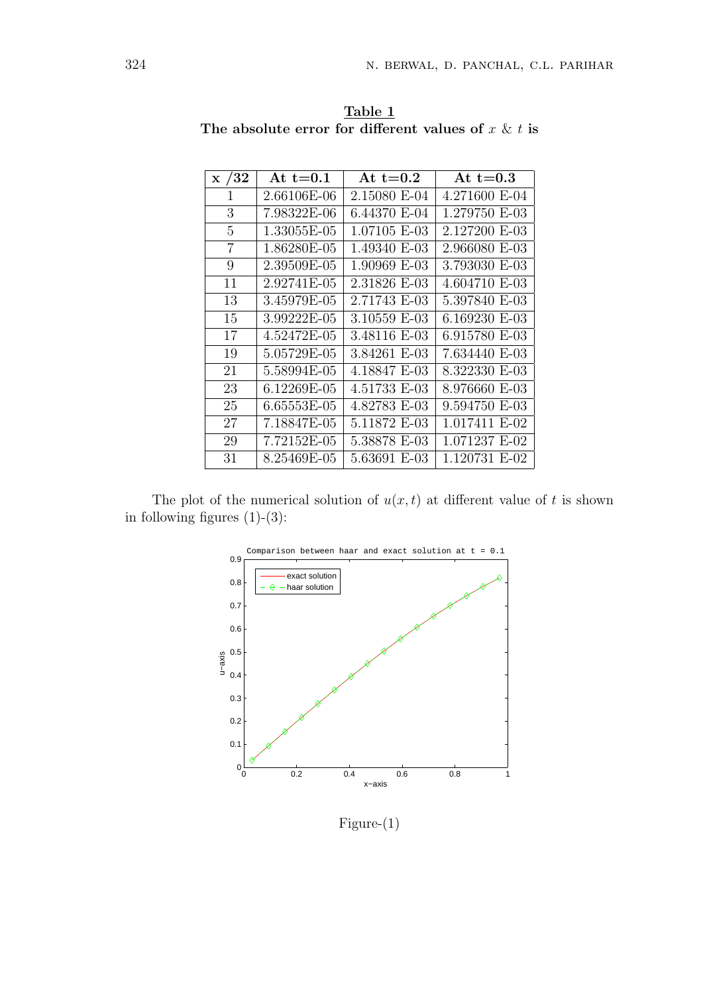| $\rm x$ /32    | At t= $0.1$ | At $t=0.2$   | At t= $0.3$   |
|----------------|-------------|--------------|---------------|
| 1              | 2.66106E-06 | 2.15080 E-04 | 4.271600 E-04 |
| 3              | 7.98322E-06 | 6.44370 E-04 | 1.279750 E-03 |
| 5              | 1.33055E-05 | 1.07105 E-03 | 2.127200 E-03 |
| $\overline{7}$ | 1.86280E-05 | 1.49340 E-03 | 2.966080 E-03 |
| 9              | 2.39509E-05 | 1.90969 E-03 | 3.793030 E-03 |
| 11             | 2.92741E-05 | 2.31826 E-03 | 4.604710 E-03 |
| 13             | 3.45979E-05 | 2.71743 E-03 | 5.397840 E-03 |
| 15             | 3.99222E-05 | 3.10559 E-03 | 6.169230 E-03 |
| 17             | 4.52472E-05 | 3.48116 E-03 | 6.915780 E-03 |
| 19             | 5.05729E-05 | 3.84261 E-03 | 7.634440 E-03 |
| 21             | 5.58994E-05 | 4.18847 E-03 | 8.322330 E-03 |
| 23             | 6.12269E-05 | 4.51733 E-03 | 8.976660 E-03 |
| 25             | 6.65553E-05 | 4.82783 E-03 | 9.594750 E-03 |
| 27             | 7.18847E-05 | 5.11872 E-03 | 1.017411 E-02 |
| 29             | 7.72152E-05 | 5.38878 E-03 | 1.071237 E-02 |
| 31             | 8.25469E-05 | 5.63691 E-03 | 1.120731 E-02 |

**Table 1** The absolute error for different values of  $x \& t$  is

The plot of the numerical solution of  $u(x, t)$  at different value of  $t$  is shown in following figures  $(1)-(3)$ :



Figure-(1)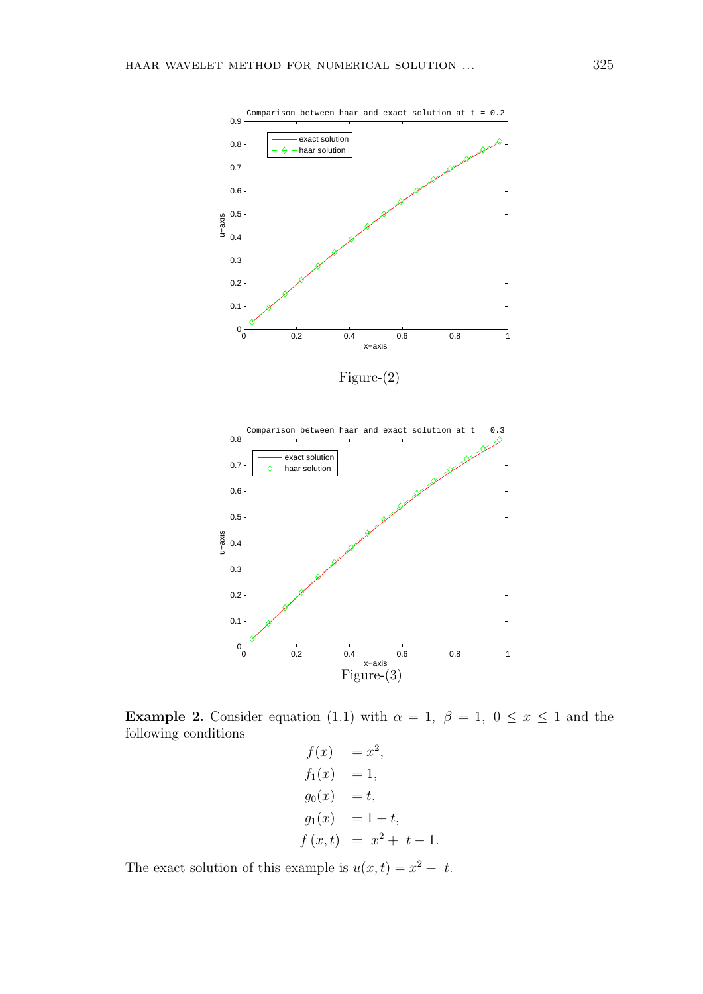



**Example 2.** Consider equation (1.1) with  $\alpha = 1$ ,  $\beta = 1$ ,  $0 \le x \le 1$  and the following conditions

```
f(x) = x^2,
f_1(x) = 1,g_0(x) = t,g_1(x) = 1 + t,f(x,t) = x^2 + t - 1.
```
The exact solution of this example is  $u(x,t) = x^2 + t$ .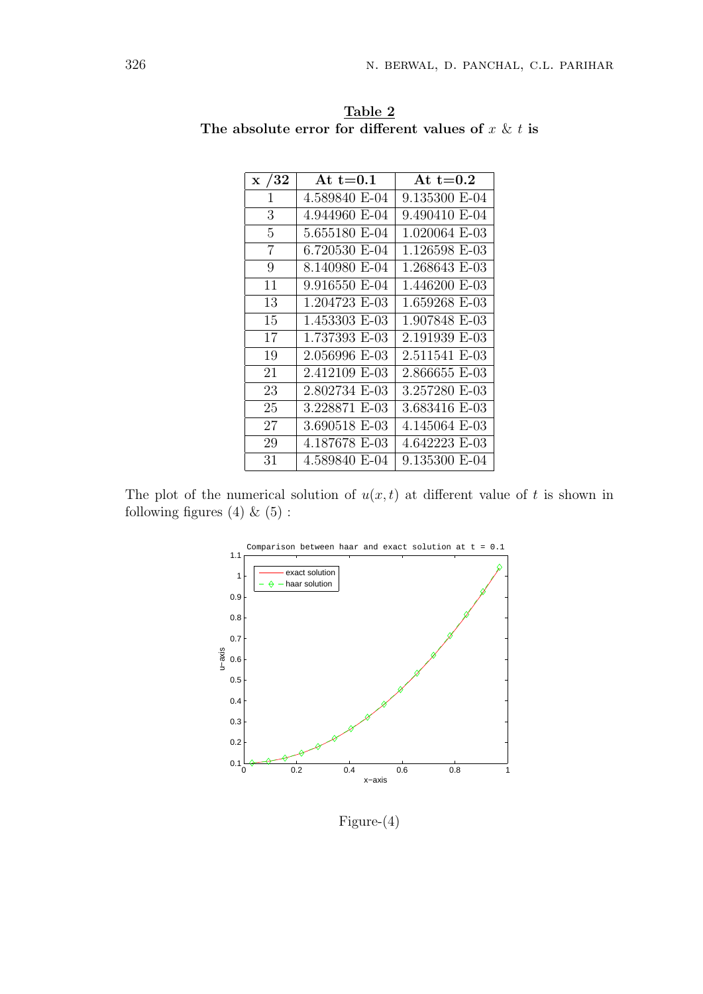| $\rm x$ /32 | At t= $0.1$   | At t= $0.2$   |
|-------------|---------------|---------------|
| 1           | 4.589840 E-04 | 9.135300 E-04 |
| 3           | 4.944960 E-04 | 9.490410 E-04 |
| 5           | 5.655180 E-04 | 1.020064 E-03 |
| 7           | 6.720530 E-04 | 1.126598 E-03 |
| 9           | 8.140980 E-04 | 1.268643 E-03 |
| 11          | 9.916550 E-04 | 1.446200 E-03 |
| 13          | 1.204723 E-03 | 1.659268 E-03 |
| 15          | 1.453303 E-03 | 1.907848 E-03 |
| 17          | 1.737393 E-03 | 2.191939 E-03 |
| 19          | 2.056996 E-03 | 2.511541 E-03 |
| 21          | 2.412109 E-03 | 2.866655 E-03 |
| 23          | 2.802734 E-03 | 3.257280 E-03 |
| 25          | 3.228871 E-03 | 3.683416 E-03 |
| 27          | 3.690518 E-03 | 4.145064 E-03 |
| 29          | 4.187678 E-03 | 4.642223 E-03 |
| 31          | 4.589840 E-04 | 9.135300 E-04 |

**Table 2** The absolute error for different values of  $x \& t$  is

The plot of the numerical solution of  $u(x, t)$  at different value of t is shown in following figures (4)  $\&$  (5) :



Figure-(4)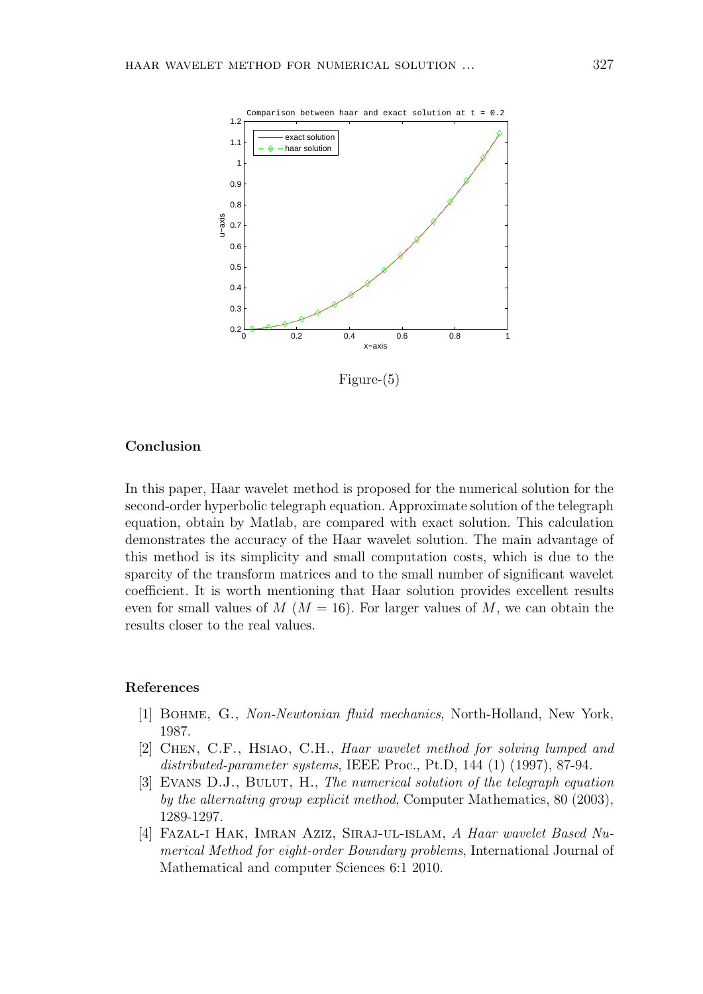

Figure-(5)

#### **Conclusion**

In this paper, Haar wavelet method is proposed for the numerical solution for the second-order hyperbolic telegraph equation. Approximate solution of the telegraph equation, obtain by Matlab, are compared with exact solution. This calculation demonstrates the accuracy of the Haar wavelet solution. The main advantage of this method is its simplicity and small computation costs, which is due to the sparcity of the transform matrices and to the small number of significant wavelet coefficient. It is worth mentioning that Haar solution provides excellent results even for small values of  $M (M = 16)$ . For larger values of  $M$ , we can obtain the results closer to the real values.

#### **References**

- [1] Bohme, G., *Non-Newtonian fluid mechanics*, North-Holland, New York, 1987.
- [2] Chen, C.F., Hsiao, C.H., *Haar wavelet method for solving lumped and distributed-parameter systems*, IEEE Proc., Pt.D, 144 (1) (1997), 87-94.
- [3] Evans D.J., Bulut, H., *The numerical solution of the telegraph equation by the alternating group explicit method*, Computer Mathematics, 80 (2003), 1289-1297.
- [4] Fazal-i Hak, Imran Aziz, Siraj-ul-islam, *A Haar wavelet Based Numerical Method for eight-order Boundary problems*, International Journal of Mathematical and computer Sciences 6:1 2010.